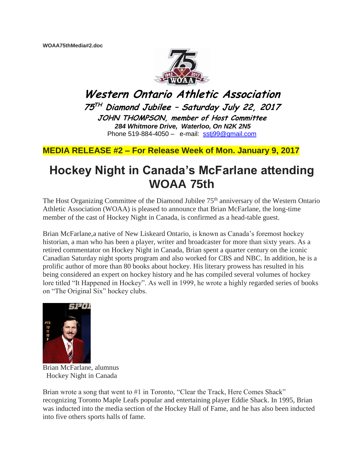

**Western Ontario Athletic Association 75 TH Diamond Jubilee – Saturday July 22, 2017 JOHN THOMPSON, member of Host Committee** *284 Whitmore Drive, Waterloo, On N2K 2N5* Phone 519-884-4050 – e-mail: [sstj99@gmail.com](mailto:sstj99@gmail.com)

**MEDIA RELEASE #2 – For Release Week of Mon. January 9, 2017**

## **Hockey Night in Canada's McFarlane attending WOAA 75th**

The Host Organizing Committee of the Diamond Jubilee 75<sup>th</sup> anniversary of the Western Ontario Athletic Association (WOAA) is pleased to announce that Brian McFarlane, the long-time member of the cast of Hockey Night in Canada, is confirmed as a head-table guest.

Brian McFarlane,a native of New Liskeard Ontario, is known as Canada's foremost hockey historian, a man who has been a player, writer and broadcaster for more than sixty years. As a retired commentator on Hockey Night in Canada, Brian spent a quarter century on the iconic Canadian Saturday night sports program and also worked for CBS and NBC. In addition, he is a prolific author of more than 80 books about hockey. His literary prowess has resulted in his being considered an expert on hockey history and he has compiled several volumes of hockey lore titled "It Happened in Hockey". As well in 1999, he wrote a highly regarded series of books on "The Original Six" hockey clubs.



Brian McFarlane, alumnus Hockey Night in Canada

Brian wrote a song that went to #1 in Toronto, "Clear the Track, Here Comes Shack" recognizing Toronto Maple Leafs popular and entertaining player Eddie Shack. In 1995, Brian was inducted into the media section of the Hockey Hall of Fame, and he has also been inducted into five others sports halls of fame.